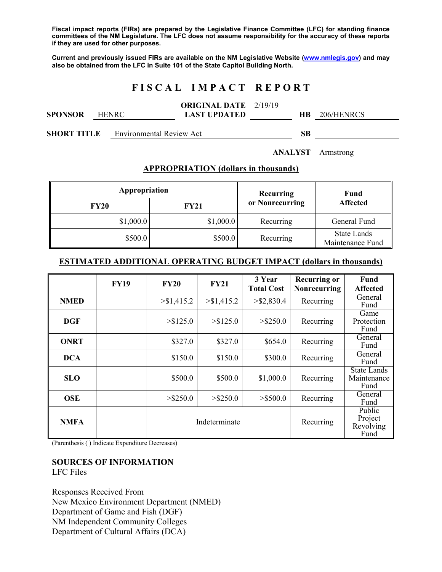**Fiscal impact reports (FIRs) are prepared by the Legislative Finance Committee (LFC) for standing finance committees of the NM Legislature. The LFC does not assume responsibility for the accuracy of these reports if they are used for other purposes.** 

**Current and previously issued FIRs are available on the NM Legislative Website (www.nmlegis.gov) and may also be obtained from the LFC in Suite 101 of the State Capitol Building North.** 

# **F I S C A L I M P A C T R E P O R T**

|         |              | <b>ORIGINAL DATE</b> 2/19/19 |    |            |  |
|---------|--------------|------------------------------|----|------------|--|
| SPONSOR | <b>HENRC</b> | <b>LAST UPDATED</b>          | HВ | 206/HENRCS |  |
|         |              |                              |    |            |  |

**SHORT TITLE** Environmental Review Act **SB** 

#### **ANALYST** Armstrong

### **APPROPRIATION (dollars in thousands)**

| Appropriation |             | Recurring       | Fund<br><b>Affected</b>         |  |
|---------------|-------------|-----------------|---------------------------------|--|
| <b>FY20</b>   | <b>FY21</b> | or Nonrecurring |                                 |  |
| \$1,000.0     | \$1,000.0   | Recurring       | General Fund                    |  |
| \$500.0       | \$500.0     | Recurring       | State Lands<br>Maintenance Fund |  |

### **ESTIMATED ADDITIONAL OPERATING BUDGET IMPACT (dollars in thousands)**

|             | <b>FY19</b> | <b>FY20</b>   | <b>FY21</b> | 3 Year<br><b>Total Cost</b> | <b>Recurring or</b><br><b>Nonrecurring</b> | Fund<br><b>Affected</b>                   |
|-------------|-------------|---------------|-------------|-----------------------------|--------------------------------------------|-------------------------------------------|
| <b>NMED</b> |             | > \$1,415.2   | > \$1,415.2 | $>$ \$2,830.4               | Recurring                                  | General<br>Fund                           |
| <b>DGF</b>  |             | > \$125.0     | > \$125.0   | $>$ \$250.0                 | Recurring                                  | Game<br>Protection<br>Fund                |
| <b>ONRT</b> |             | \$327.0       | \$327.0     | \$654.0                     | Recurring                                  | General<br>Fund                           |
| <b>DCA</b>  |             | \$150.0       | \$150.0     | \$300.0                     | Recurring                                  | General<br>Fund                           |
| <b>SLO</b>  |             | \$500.0       | \$500.0     | \$1,000.0                   | Recurring                                  | <b>State Lands</b><br>Maintenance<br>Fund |
| <b>OSE</b>  |             | $>$ \$250.0   | $>$ \$250.0 | $>$ \$500.0                 | Recurring                                  | General<br>Fund                           |
| <b>NMFA</b> |             | Indeterminate |             |                             | Recurring                                  | Public<br>Project<br>Revolving<br>Fund    |

(Parenthesis ( ) Indicate Expenditure Decreases)

#### **SOURCES OF INFORMATION**  LFC Files

Responses Received From New Mexico Environment Department (NMED) Department of Game and Fish (DGF) NM Independent Community Colleges Department of Cultural Affairs (DCA)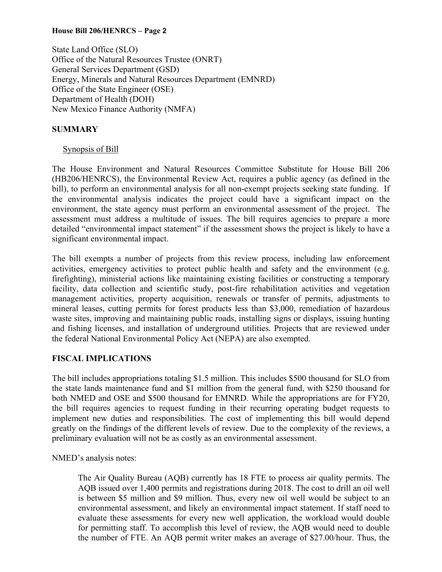## **House Bill 206/HENRCS – Page 2**

State Land Office (SLO) Office of the Natural Resources Trustee (ONRT) General Services Department (GSD) Energy, Minerals and Natural Resources Department (EMNRD) Office of the State Engineer (OSE) Department of Health (DOH) New Mexico Finance Authority (NMFA)

# **SUMMARY**

# Synopsis of Bill

The House Environment and Natural Resources Committee Substitute for House Bill 206 (HB206/HENRCS), the Environmental Review Act, requires a public agency (as defined in the bill), to perform an environmental analysis for all non-exempt projects seeking state funding. If the environmental analysis indicates the project could have a significant impact on the environment, the state agency must perform an environmental assessment of the project. The assessment must address a multitude of issues. The bill requires agencies to prepare a more detailed "environmental impact statement" if the assessment shows the project is likely to have a significant environmental impact.

The bill exempts a number of projects from this review process, including law enforcement activities, emergency activities to protect public health and safety and the environment (e.g. firefighting), ministerial actions like maintaining existing facilities or constructing a temporary facility, data collection and scientific study, post-fire rehabilitation activities and vegetation management activities, property acquisition, renewals or transfer of permits, adjustments to mineral leases, cutting permits for forest products less than \$3,000, remediation of hazardous waste sites, improving and maintaining public roads, installing signs or displays, issuing hunting and fishing licenses, and installation of underground utilities. Projects that are reviewed under the federal National Environmental Policy Act (NEPA) are also exempted.

# **FISCAL IMPLICATIONS**

The bill includes appropriations totaling \$1.5 million. This includes \$500 thousand for SLO from the state lands maintenance fund and \$1 million from the general fund, with \$250 thousand for both NMED and OSE and \$500 thousand for EMNRD. While the appropriations are for FY20, the bill requires agencies to request funding in their recurring operating budget requests to implement new duties and responsibilities. The cost of implementing this bill would depend greatly on the findings of the different levels of review. Due to the complexity of the reviews, a preliminary evaluation will not be as costly as an environmental assessment.

NMED's analysis notes:

The Air Quality Bureau (AQB) currently has 18 FTE to process air quality permits. The AQB issued over 1,400 permits and registrations during 2018. The cost to drill an oil well is between \$5 million and \$9 million. Thus, every new oil well would be subject to an environmental assessment, and likely an environmental impact statement. If staff need to evaluate these assessments for every new well application, the workload would double for permitting staff. To accomplish this level of review, the AQB would need to double the number of FTE. An AQB permit writer makes an average of \$27.00/hour. Thus, the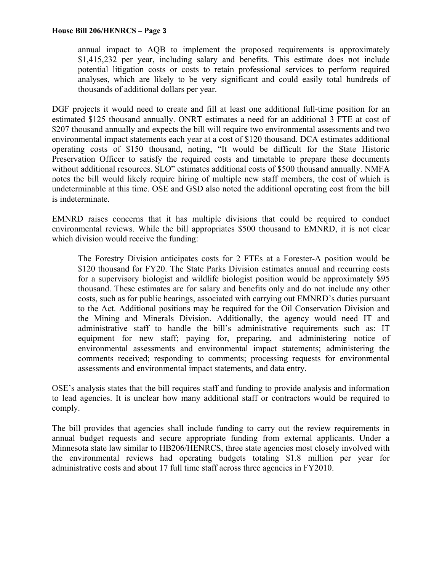annual impact to AQB to implement the proposed requirements is approximately \$1,415,232 per year, including salary and benefits. This estimate does not include potential litigation costs or costs to retain professional services to perform required analyses, which are likely to be very significant and could easily total hundreds of thousands of additional dollars per year.

DGF projects it would need to create and fill at least one additional full-time position for an estimated \$125 thousand annually. ONRT estimates a need for an additional 3 FTE at cost of \$207 thousand annually and expects the bill will require two environmental assessments and two environmental impact statements each year at a cost of \$120 thousand. DCA estimates additional operating costs of \$150 thousand, noting, "It would be difficult for the State Historic Preservation Officer to satisfy the required costs and timetable to prepare these documents without additional resources. SLO" estimates additional costs of \$500 thousand annually. NMFA notes the bill would likely require hiring of multiple new staff members, the cost of which is undeterminable at this time. OSE and GSD also noted the additional operating cost from the bill is indeterminate.

EMNRD raises concerns that it has multiple divisions that could be required to conduct environmental reviews. While the bill appropriates \$500 thousand to EMNRD, it is not clear which division would receive the funding:

The Forestry Division anticipates costs for 2 FTEs at a Forester-A position would be \$120 thousand for FY20. The State Parks Division estimates annual and recurring costs for a supervisory biologist and wildlife biologist position would be approximately \$95 thousand. These estimates are for salary and benefits only and do not include any other costs, such as for public hearings, associated with carrying out EMNRD's duties pursuant to the Act. Additional positions may be required for the Oil Conservation Division and the Mining and Minerals Division. Additionally, the agency would need IT and administrative staff to handle the bill's administrative requirements such as: IT equipment for new staff; paying for, preparing, and administering notice of environmental assessments and environmental impact statements; administering the comments received; responding to comments; processing requests for environmental assessments and environmental impact statements, and data entry.

OSE's analysis states that the bill requires staff and funding to provide analysis and information to lead agencies. It is unclear how many additional staff or contractors would be required to comply.

The bill provides that agencies shall include funding to carry out the review requirements in annual budget requests and secure appropriate funding from external applicants. Under a Minnesota state law similar to HB206/HENRCS, three state agencies most closely involved with the environmental reviews had operating budgets totaling \$1.8 million per year for administrative costs and about 17 full time staff across three agencies in FY2010.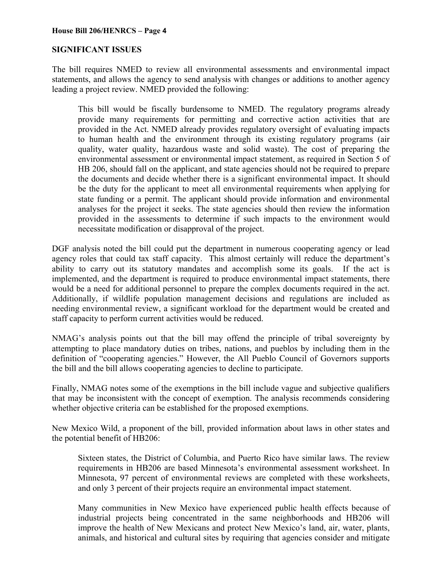### **House Bill 206/HENRCS – Page 4**

# **SIGNIFICANT ISSUES**

The bill requires NMED to review all environmental assessments and environmental impact statements, and allows the agency to send analysis with changes or additions to another agency leading a project review. NMED provided the following:

This bill would be fiscally burdensome to NMED. The regulatory programs already provide many requirements for permitting and corrective action activities that are provided in the Act. NMED already provides regulatory oversight of evaluating impacts to human health and the environment through its existing regulatory programs (air quality, water quality, hazardous waste and solid waste). The cost of preparing the environmental assessment or environmental impact statement, as required in Section 5 of HB 206, should fall on the applicant, and state agencies should not be required to prepare the documents and decide whether there is a significant environmental impact. It should be the duty for the applicant to meet all environmental requirements when applying for state funding or a permit. The applicant should provide information and environmental analyses for the project it seeks. The state agencies should then review the information provided in the assessments to determine if such impacts to the environment would necessitate modification or disapproval of the project.

DGF analysis noted the bill could put the department in numerous cooperating agency or lead agency roles that could tax staff capacity. This almost certainly will reduce the department's ability to carry out its statutory mandates and accomplish some its goals. If the act is implemented, and the department is required to produce environmental impact statements, there would be a need for additional personnel to prepare the complex documents required in the act. Additionally, if wildlife population management decisions and regulations are included as needing environmental review, a significant workload for the department would be created and staff capacity to perform current activities would be reduced.

NMAG's analysis points out that the bill may offend the principle of tribal sovereignty by attempting to place mandatory duties on tribes, nations, and pueblos by including them in the definition of "cooperating agencies." However, the All Pueblo Council of Governors supports the bill and the bill allows cooperating agencies to decline to participate.

Finally, NMAG notes some of the exemptions in the bill include vague and subjective qualifiers that may be inconsistent with the concept of exemption. The analysis recommends considering whether objective criteria can be established for the proposed exemptions.

New Mexico Wild, a proponent of the bill, provided information about laws in other states and the potential benefit of HB206:

Sixteen states, the District of Columbia, and Puerto Rico have similar laws. The review requirements in HB206 are based Minnesota's environmental assessment worksheet. In Minnesota, 97 percent of environmental reviews are completed with these worksheets, and only 3 percent of their projects require an environmental impact statement.

Many communities in New Mexico have experienced public health effects because of industrial projects being concentrated in the same neighborhoods and HB206 will improve the health of New Mexicans and protect New Mexico's land, air, water, plants, animals, and historical and cultural sites by requiring that agencies consider and mitigate